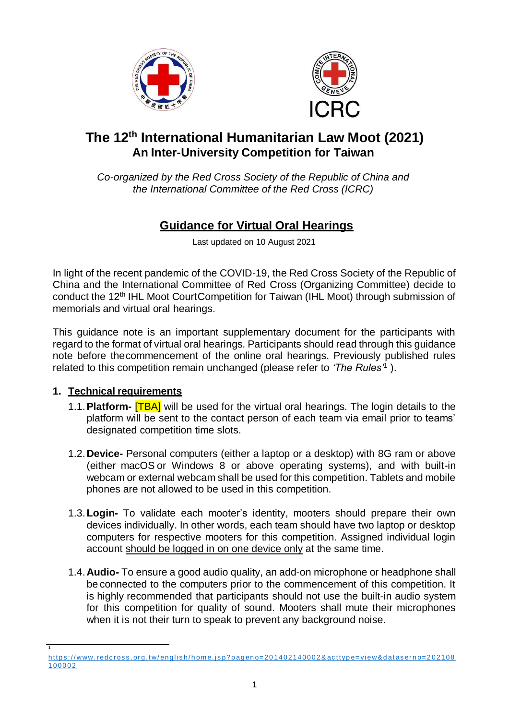



# **The 12 th International Humanitarian Law Moot (2021) An Inter-University Competition for Taiwan**

*Co-organized by the Red Cross Society of the Republic of China and the International Committee of the Red Cross (ICRC)*

## **Guidance for Virtual Oral Hearings**

Last updated on 10 August 2021

In light of the recent pandemic of the COVID-19, the Red Cross Society of the Republic of China and the International Committee of Red Cross (Organizing Committee) decide to conduct the 12th IHL Moot CourtCompetition for Taiwan (IHL Moot) through submission of memorials and virtual oral hearings.

This guidance note is an important supplementary document for the participants with regard to the format of virtual oral hearings. Participants should read through this guidance note before thecommencement of the online oral hearings. Previously published rules related to this competition remain unchanged (please refer to *'The Rules'*<sup>1</sup> ).

## **1. Technical requirements**

1

- 1.1.**Platform-** [TBA] will be used for the virtual oral hearings. The login details to the platform will be sent to the contact person of each team via email prior to teams' designated competition time slots.
- 1.2.**Device-** Personal computers (either a laptop or a desktop) with 8G ram or above (either macOS or Windows 8 or above operating systems), and with built-in webcam or external webcam shall be used for this competition. Tablets and mobile phones are not allowed to be used in this competition.
- 1.3.**Login-** To validate each mooter's identity, mooters should prepare their own devices individually. In other words, each team should have two laptop or desktop computers for respective mooters for this competition. Assigned individual login account should be logged in on one device only at the same time.
- 1.4.**Audio-** To ensure a good audio quality, an add-on microphone or headphone shall be connected to the computers prior to the commencement of this competition. It is highly recommended that participants should not use the built-in audio system for this competition for quality of sound. Mooters shall mute their microphones when it is not their turn to speak to prevent any background noise.

https://www.redcross.org.tw/english/home.jsp?pageno=201402140002&acttype=view&dataserno=202108 [100002](https://www.redcross.org.tw/english/home.jsp?pageno=201402140002&acttype=view&dataserno=202108100002)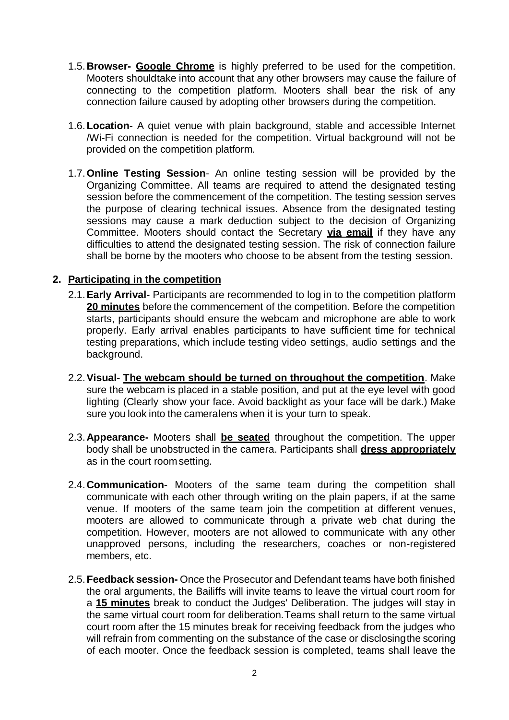- 1.5.**Browser- Google Chrome** is highly preferred to be used for the competition. Mooters shouldtake into account that any other browsers may cause the failure of connecting to the competition platform. Mooters shall bear the risk of any connection failure caused by adopting other browsers during the competition.
- 1.6.**Location-** A quiet venue with plain background, stable and accessible Internet /Wi-Fi connection is needed for the competition. Virtual background will not be provided on the competition platform.
- 1.7.**Online Testing Session** An online testing session will be provided by the Organizing Committee. All teams are required to attend the designated testing session before the commencement of the competition. The testing session serves the purpose of clearing technical issues. Absence from the designated testing sessions may cause a mark deduction subject to the decision of Organizing Committee. Mooters should contact the Secretary **via email** if they have any difficulties to attend the designated testing session. The risk of connection failure shall be borne by the mooters who choose to be absent from the testing session.

#### **2. Participating in the competition**

- 2.1.**Early Arrival-** Participants are recommended to log in to the competition platform **20 minutes** before the commencement of the competition. Before the competition starts, participants should ensure the webcam and microphone are able to work properly. Early arrival enables participants to have sufficient time for technical testing preparations, which include testing video settings, audio settings and the background.
- 2.2.**Visual- The webcam should be turned on throughout the competition**. Make sure the webcam is placed in a stable position, and put at the eye level with good lighting (Clearly show your face. Avoid backlight as your face will be dark.) Make sure you look into the cameralens when it is your turn to speak.
- 2.3.**Appearance-** Mooters shall **be seated** throughout the competition. The upper body shall be unobstructed in the camera. Participants shall **dress appropriately** as in the court room setting.
- 2.4.**Communication-** Mooters of the same team during the competition shall communicate with each other through writing on the plain papers, if at the same venue. If mooters of the same team join the competition at different venues, mooters are allowed to communicate through a private web chat during the competition. However, mooters are not allowed to communicate with any other unapproved persons, including the researchers, coaches or non-registered members, etc.
- 2.5.**Feedback session-** Once the Prosecutor and Defendant teams have both finished the oral arguments, the Bailiffs will invite teams to leave the virtual court room for a **15 minutes** break to conduct the Judges' Deliberation. The judges will stay in the same virtual court room for deliberation.Teams shall return to the same virtual court room after the 15 minutes break for receiving feedback from the judges who will refrain from commenting on the substance of the case or disclosingthe scoring of each mooter. Once the feedback session is completed, teams shall leave the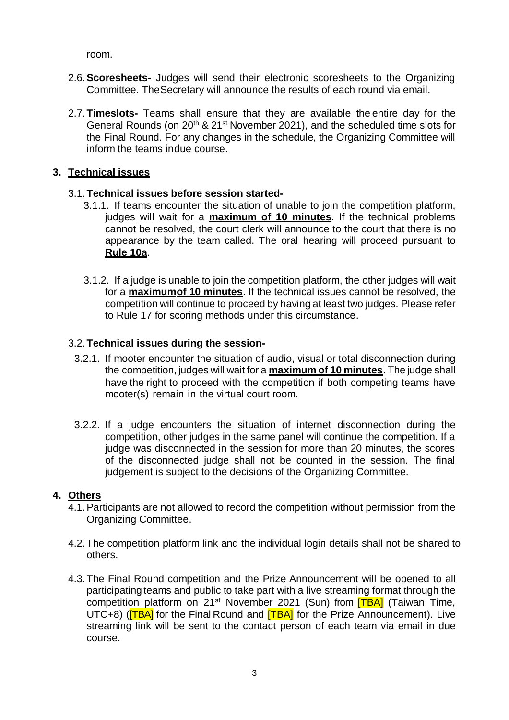room.

- 2.6.**Scoresheets-** Judges will send their electronic scoresheets to the Organizing Committee. TheSecretary will announce the results of each round via email.
- 2.7.**Timeslots-** Teams shall ensure that they are available the entire day for the General Rounds (on  $20<sup>th</sup>$  &  $21<sup>st</sup>$  November 2021), and the scheduled time slots for the Final Round. For any changes in the schedule, the Organizing Committee will inform the teams indue course.

#### **3. Technical issues**

#### 3.1.**Technical issues before session started-**

- 3.1.1. If teams encounter the situation of unable to join the competition platform, judges will wait for a **maximum of 10 minutes**. If the technical problems cannot be resolved, the court clerk will announce to the court that there is no appearance by the team called. The oral hearing will proceed pursuant to **Rule 10a**.
- 3.1.2. If a judge is unable to join the competition platform, the other judges will wait for a **maximumof 10 minutes**. If the technical issues cannot be resolved, the competition will continue to proceed by having at least two judges. Please refer to Rule 17 for scoring methods under this circumstance.

#### 3.2.**Technical issues during the session-**

- 3.2.1. If mooter encounter the situation of audio, visual or total disconnection during the competition, judges will wait for a **maximum of 10 minutes**. The judge shall have the right to proceed with the competition if both competing teams have mooter(s) remain in the virtual court room.
- 3.2.2. If a judge encounters the situation of internet disconnection during the competition, other judges in the same panel will continue the competition. If a judge was disconnected in the session for more than 20 minutes, the scores of the disconnected judge shall not be counted in the session. The final judgement is subject to the decisions of the Organizing Committee.

## **4. Others**

- 4.1.Participants are not allowed to record the competition without permission from the Organizing Committee.
- 4.2.The competition platform link and the individual login details shall not be shared to others.
- 4.3.The Final Round competition and the Prize Announcement will be opened to all participating teams and public to take part with a live streaming format through the competition platform on 21<sup>st</sup> November 2021 (Sun) from **[TBA]** (Taiwan Time, UTC+8) (**TRA)** for the Final Round and **[TBA]** for the Prize Announcement). Live streaming link will be sent to the contact person of each team via email in due course.